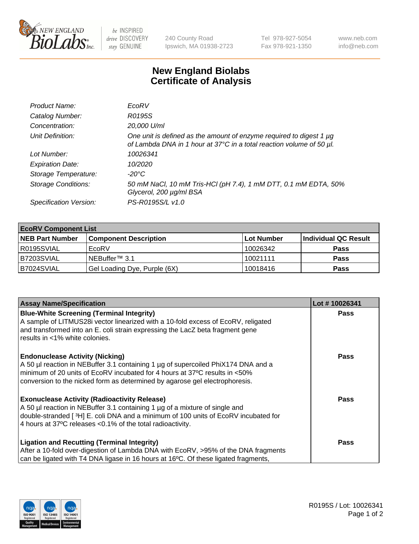

 $be$  INSPIRED drive DISCOVERY stay GENUINE

240 County Road Ipswich, MA 01938-2723 Tel 978-927-5054 Fax 978-921-1350 www.neb.com info@neb.com

## **New England Biolabs Certificate of Analysis**

| Product Name:              | EcoRV                                                                                                                                       |
|----------------------------|---------------------------------------------------------------------------------------------------------------------------------------------|
| Catalog Number:            | R0195S                                                                                                                                      |
| Concentration:             | 20,000 U/ml                                                                                                                                 |
| Unit Definition:           | One unit is defined as the amount of enzyme required to digest 1 µg<br>of Lambda DNA in 1 hour at 37°C in a total reaction volume of 50 µl. |
| Lot Number:                | 10026341                                                                                                                                    |
| <b>Expiration Date:</b>    | 10/2020                                                                                                                                     |
| Storage Temperature:       | $-20^{\circ}$ C                                                                                                                             |
| <b>Storage Conditions:</b> | 50 mM NaCl, 10 mM Tris-HCl (pH 7.4), 1 mM DTT, 0.1 mM EDTA, 50%<br>Glycerol, 200 µg/ml BSA                                                  |
| Specification Version:     | PS-R0195S/L v1.0                                                                                                                            |

| <b>EcoRV Component List</b> |                              |                   |                      |  |  |
|-----------------------------|------------------------------|-------------------|----------------------|--|--|
| <b>NEB Part Number</b>      | <b>Component Description</b> | <b>Lot Number</b> | Individual QC Result |  |  |
| I R0195SVIAL                | EcoRV                        | 10026342          | <b>Pass</b>          |  |  |
| B7203SVIAL                  | INEBuffer™ 3.1               | 10021111          | <b>Pass</b>          |  |  |
| B7024SVIAL                  | Gel Loading Dye, Purple (6X) | 10018416          | <b>Pass</b>          |  |  |

| <b>Assay Name/Specification</b>                                                                                                                           | Lot #10026341 |
|-----------------------------------------------------------------------------------------------------------------------------------------------------------|---------------|
| <b>Blue-White Screening (Terminal Integrity)</b><br>A sample of LITMUS28i vector linearized with a 10-fold excess of EcoRV, religated                     | <b>Pass</b>   |
| and transformed into an E. coli strain expressing the LacZ beta fragment gene<br>results in <1% white colonies.                                           |               |
| <b>Endonuclease Activity (Nicking)</b><br>A 50 µl reaction in NEBuffer 3.1 containing 1 µg of supercoiled PhiX174 DNA and a                               | Pass          |
| minimum of 20 units of EcoRV incubated for 4 hours at 37°C results in <50%<br>conversion to the nicked form as determined by agarose gel electrophoresis. |               |
| <b>Exonuclease Activity (Radioactivity Release)</b>                                                                                                       | Pass          |
| A 50 µl reaction in NEBuffer 3.1 containing 1 µg of a mixture of single and                                                                               |               |
| double-stranded [ <sup>3</sup> H] E. coli DNA and a minimum of 100 units of EcoRV incubated for                                                           |               |
| 4 hours at 37°C releases < 0.1% of the total radioactivity.                                                                                               |               |
| <b>Ligation and Recutting (Terminal Integrity)</b>                                                                                                        | <b>Pass</b>   |
| After a 10-fold over-digestion of Lambda DNA with EcoRV, >95% of the DNA fragments                                                                        |               |
| can be ligated with T4 DNA ligase in 16 hours at 16 $\degree$ C. Of these ligated fragments,                                                              |               |